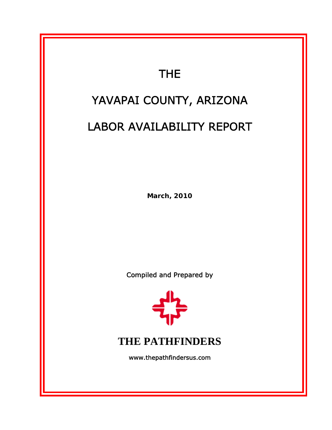## THE

### YAVAPAI COUNTY, ARIZONA

### LABOR AVAILABILITY REPORT

**March, 2010** 

Compiled and Prepared by



### **THE PATHFINDERS**

www.thepathfindersus.com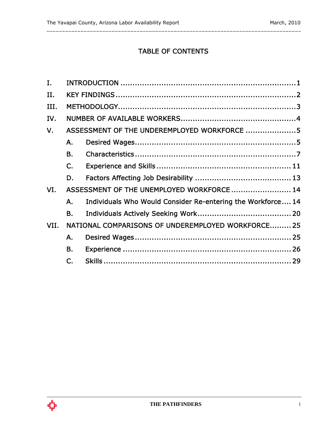#### TABLE OF CONTENTS

\_\_\_\_\_\_\_\_\_\_\_\_\_\_\_\_\_\_\_\_\_\_\_\_\_\_\_\_\_\_\_\_\_\_\_\_\_\_\_\_\_\_\_\_\_\_\_\_\_\_\_\_\_\_\_\_\_\_\_\_\_\_\_\_\_\_\_\_\_\_\_\_\_\_\_\_\_\_\_\_\_\_

| Ι.   |                |                                                             |  |
|------|----------------|-------------------------------------------------------------|--|
| II.  |                |                                                             |  |
| III. |                |                                                             |  |
| IV.  |                |                                                             |  |
| V.   |                | ASSESSMENT OF THE UNDEREMPLOYED WORKFORCE 5                 |  |
|      | Α.             |                                                             |  |
|      | <b>B.</b>      |                                                             |  |
|      | $C_{\cdot}$    |                                                             |  |
|      | D.             |                                                             |  |
| VI.  |                | ASSESSMENT OF THE UNEMPLOYED WORKFORCE 14                   |  |
|      | A.             | Individuals Who Would Consider Re-entering the Workforce 14 |  |
|      | <b>B.</b>      |                                                             |  |
| VII. |                | NATIONAL COMPARISONS OF UNDEREMPLOYED WORKFORCE 25          |  |
|      | Α.             |                                                             |  |
|      | <b>B.</b>      |                                                             |  |
|      | $\mathsf{C}$ . |                                                             |  |
|      |                |                                                             |  |

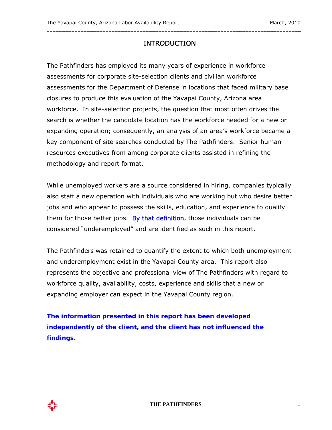#### INTRODUCTION

\_\_\_\_\_\_\_\_\_\_\_\_\_\_\_\_\_\_\_\_\_\_\_\_\_\_\_\_\_\_\_\_\_\_\_\_\_\_\_\_\_\_\_\_\_\_\_\_\_\_\_\_\_\_\_\_\_\_\_\_\_\_\_\_\_\_\_\_\_\_\_\_\_\_\_\_\_\_\_\_\_\_

The Pathfinders has employed its many years of experience in workforce assessments for corporate site-selection clients and civilian workforce assessments for the Department of Defense in locations that faced military base closures to produce this evaluation of the Yavapai County, Arizona area workforce. In site-selection projects, the question that most often drives the search is whether the candidate location has the workforce needed for a new or expanding operation; consequently, an analysis of an area's workforce became a key component of site searches conducted by The Pathfinders. Senior human resources executives from among corporate clients assisted in refining the methodology and report format.

While unemployed workers are a source considered in hiring, companies typically also staff a new operation with individuals who are working but who desire better jobs and who appear to possess the skills, education, and experience to qualify them for those better jobs. By that definition, those individuals can be considered "underemployed" and are identified as such in this report.

The Pathfinders was retained to quantify the extent to which both unemployment and underemployment exist in the Yavapai County area. This report also represents the objective and professional view of The Pathfinders with regard to workforce quality, availability, costs, experience and skills that a new or expanding employer can expect in the Yavapai County region.

**The information presented in this report has been developed independently of the client, and the client has not influenced the findings.** 

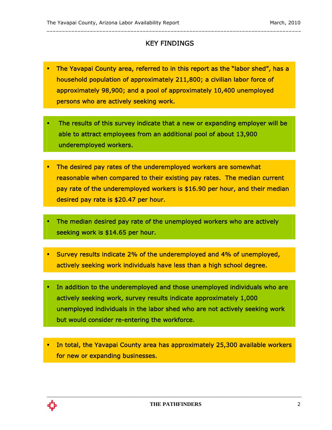#### KEY FINDINGS

\_\_\_\_\_\_\_\_\_\_\_\_\_\_\_\_\_\_\_\_\_\_\_\_\_\_\_\_\_\_\_\_\_\_\_\_\_\_\_\_\_\_\_\_\_\_\_\_\_\_\_\_\_\_\_\_\_\_\_\_\_\_\_\_\_\_\_\_\_\_\_\_\_\_\_\_\_\_\_\_\_\_

- The Yavapai County area, referred to in this report as the "labor shed", has a household population of approximately 211,800; a civilian labor force of approximately 98,900; and a pool of approximately 10,400 unemployed persons who are actively seeking work.
- The results of this survey indicate that a new or expanding employer will be able to attract employees from an additional pool of about 13,900 underemployed workers.
- The desired pay rates of the underemployed workers are somewhat reasonable when compared to their existing pay rates. The median current pay rate of the underemployed workers is \$16.90 per hour, and their median desired pay rate is \$20.47 per hour.
- The median desired pay rate of the unemployed workers who are actively seeking work is \$14.65 per hour.
- Survey results indicate 2% of the underemployed and 4% of unemployed, actively seeking work individuals have less than a high school degree.
- In addition to the underemployed and those unemployed individuals who are actively seeking work, survey results indicate approximately 1,000 unemployed individuals in the labor shed who are not actively seeking work but would consider re-entering the workforce.
- In total, the Yavapai County area has approximately 25,300 available workers for new or expanding businesses.

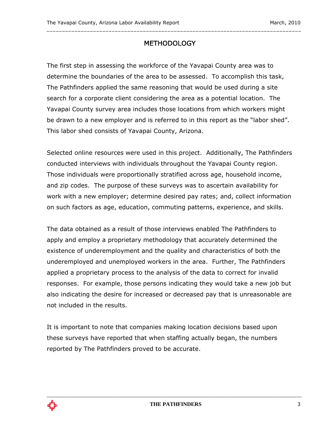#### METHODOLOGY

\_\_\_\_\_\_\_\_\_\_\_\_\_\_\_\_\_\_\_\_\_\_\_\_\_\_\_\_\_\_\_\_\_\_\_\_\_\_\_\_\_\_\_\_\_\_\_\_\_\_\_\_\_\_\_\_\_\_\_\_\_\_\_\_\_\_\_\_\_\_\_\_\_\_\_\_\_\_\_\_\_\_

The first step in assessing the workforce of the Yavapai County area was to determine the boundaries of the area to be assessed. To accomplish this task, The Pathfinders applied the same reasoning that would be used during a site search for a corporate client considering the area as a potential location. The Yavapai County survey area includes those locations from which workers might be drawn to a new employer and is referred to in this report as the "labor shed". This labor shed consists of Yavapai County, Arizona.

Selected online resources were used in this project. Additionally, The Pathfinders conducted interviews with individuals throughout the Yavapai County region. Those individuals were proportionally stratified across age, household income, and zip codes. The purpose of these surveys was to ascertain availability for work with a new employer; determine desired pay rates; and, collect information on such factors as age, education, commuting patterns, experience, and skills.

The data obtained as a result of those interviews enabled The Pathfinders to apply and employ a proprietary methodology that accurately determined the existence of underemployment and the quality and characteristics of both the underemployed and unemployed workers in the area. Further, The Pathfinders applied a proprietary process to the analysis of the data to correct for invalid responses. For example, those persons indicating they would take a new job but also indicating the desire for increased or decreased pay that is unreasonable are not included in the results.

It is important to note that companies making location decisions based upon these surveys have reported that when staffing actually began, the numbers reported by The Pathfinders proved to be accurate.

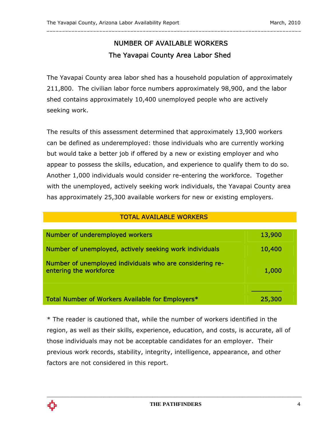### NUMBER OF AVAILABLE WORKERS The Yavapai County Area Labor Shed

\_\_\_\_\_\_\_\_\_\_\_\_\_\_\_\_\_\_\_\_\_\_\_\_\_\_\_\_\_\_\_\_\_\_\_\_\_\_\_\_\_\_\_\_\_\_\_\_\_\_\_\_\_\_\_\_\_\_\_\_\_\_\_\_\_\_\_\_\_\_\_\_\_\_\_\_\_\_\_\_\_\_

The Yavapai County area labor shed has a household population of approximately 211,800. The civilian labor force numbers approximately 98,900, and the labor shed contains approximately 10,400 unemployed people who are actively seeking work.

The results of this assessment determined that approximately 13,900 workers can be defined as underemployed: those individuals who are currently working but would take a better job if offered by a new or existing employer and who appear to possess the skills, education, and experience to qualify them to do so. Another 1,000 individuals would consider re-entering the workforce. Together with the unemployed, actively seeking work individuals, the Yavapai County area has approximately 25,300 available workers for new or existing employers.

#### TOTAL AVAILABLE WORKERS

| Number of underemployed workers                                                    | 13,900 |
|------------------------------------------------------------------------------------|--------|
| Number of unemployed, actively seeking work individuals                            | 10,400 |
| Number of unemployed individuals who are considering re-<br>entering the workforce | 1,000  |
| Total Number of Workers Available for Employers*                                   | 25,300 |

\* The reader is cautioned that, while the number of workers identified in the region, as well as their skills, experience, education, and costs, is accurate, all of those individuals may not be acceptable candidates for an employer. Their previous work records, stability, integrity, intelligence, appearance, and other factors are not considered in this report.

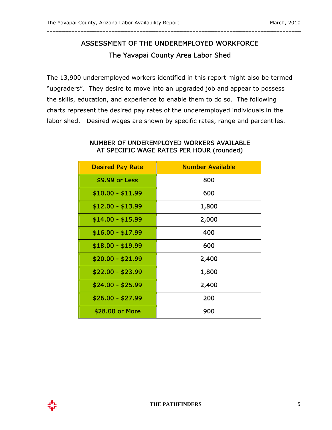### ASSESSMENT OF THE UNDEREMPLOYED WORKFORCE The Yavapai County Area Labor Shed

\_\_\_\_\_\_\_\_\_\_\_\_\_\_\_\_\_\_\_\_\_\_\_\_\_\_\_\_\_\_\_\_\_\_\_\_\_\_\_\_\_\_\_\_\_\_\_\_\_\_\_\_\_\_\_\_\_\_\_\_\_\_\_\_\_\_\_\_\_\_\_\_\_\_\_\_\_\_\_\_\_\_

The 13,900 underemployed workers identified in this report might also be termed "upgraders". They desire to move into an upgraded job and appear to possess the skills, education, and experience to enable them to do so. The following charts represent the desired pay rates of the underemployed individuals in the labor shed. Desired wages are shown by specific rates, range and percentiles.

| <b>Desired Pay Rate</b> | <b>Number Available</b> |
|-------------------------|-------------------------|
| \$9.99 or Less          | 800                     |
| $$10.00 - $11.99$       | 600                     |
| $$12.00 - $13.99$       | 1,800                   |
| $$14.00 - $15.99$       | 2,000                   |
| $$16.00 - $17.99$       | 400                     |
| $$18.00 - $19.99$       | 600                     |
| $$20.00 - $21.99$       | 2,400                   |
| $$22.00 - $23.99$       | 1,800                   |
| $$24.00 - $25.99$       | 2,400                   |
| $$26.00 - $27.99$       | 200                     |
| \$28.00 or More         | 900                     |

#### NUMBER OF UNDEREMPLOYED WORKERS AVAILABLE AT SPECIFIC WAGE RATES PER HOUR (rounded)

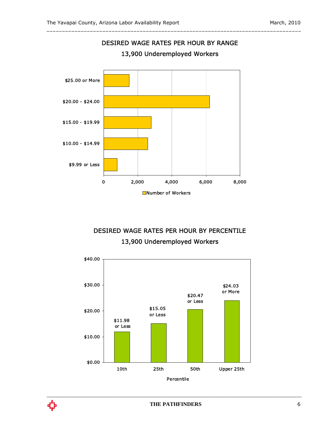

\_\_\_\_\_\_\_\_\_\_\_\_\_\_\_\_\_\_\_\_\_\_\_\_\_\_\_\_\_\_\_\_\_\_\_\_\_\_\_\_\_\_\_\_\_\_\_\_\_\_\_\_\_\_\_\_\_\_\_\_\_\_\_\_\_\_\_\_\_\_\_\_\_\_\_\_\_\_\_\_\_\_

#### DESIRED WAGE RATES PER HOUR BY PERCENTILE 13,900 Underemployed Workers



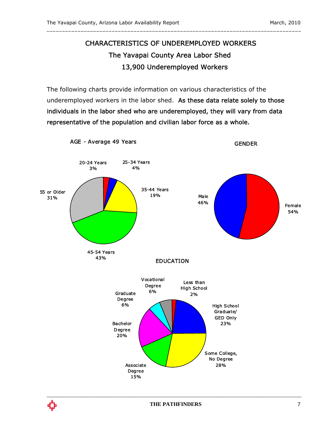### CHARACTERISTICS OF UNDEREMPLOYED WORKERS The Yavapai County Area Labor Shed 13,900 Underemployed Workers

\_\_\_\_\_\_\_\_\_\_\_\_\_\_\_\_\_\_\_\_\_\_\_\_\_\_\_\_\_\_\_\_\_\_\_\_\_\_\_\_\_\_\_\_\_\_\_\_\_\_\_\_\_\_\_\_\_\_\_\_\_\_\_\_\_\_\_\_\_\_\_\_\_\_\_\_\_\_\_\_\_\_

The following charts provide information on various characteristics of the underemployed workers in the labor shed. As these data relate solely to those individuals in the labor shed who are underemployed, they will vary from data representative of the population and civilian labor force as a whole.



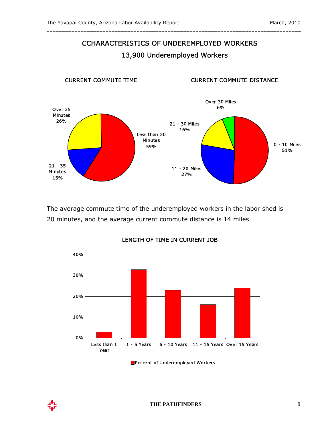### CCHARACTERISTICS OF UNDEREMPLOYED WORKERS 13,900 Underemployed Workers

\_\_\_\_\_\_\_\_\_\_\_\_\_\_\_\_\_\_\_\_\_\_\_\_\_\_\_\_\_\_\_\_\_\_\_\_\_\_\_\_\_\_\_\_\_\_\_\_\_\_\_\_\_\_\_\_\_\_\_\_\_\_\_\_\_\_\_\_\_\_\_\_\_\_\_\_\_\_\_\_\_\_



The average commute time of the underemployed workers in the labor shed is 20 minutes, and the average current commute distance is 14 miles.



LENGTH OF TIME IN CURRENT JOB

**Percent of Underemployed Workers** 

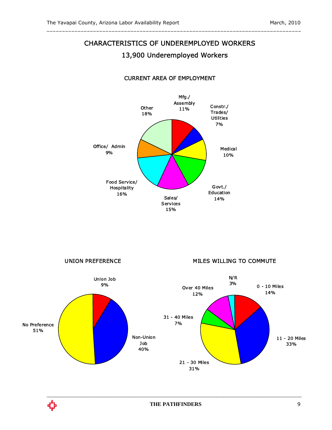## CHARACTERISTICS OF UNDEREMPLOYED WORKERS

#### 13,900 Underemployed Workers

\_\_\_\_\_\_\_\_\_\_\_\_\_\_\_\_\_\_\_\_\_\_\_\_\_\_\_\_\_\_\_\_\_\_\_\_\_\_\_\_\_\_\_\_\_\_\_\_\_\_\_\_\_\_\_\_\_\_\_\_\_\_\_\_\_\_\_\_\_\_\_\_\_\_\_\_\_\_\_\_\_\_



#### CURRENT AREA OF EMPLOYMENT



MILES WILLING TO COMMUTE



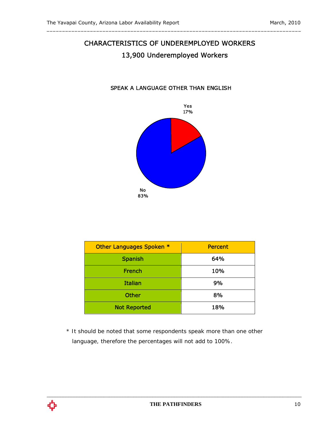### CHARACTERISTICS OF UNDEREMPLOYED WORKERS 13,900 Underemployed Workers

\_\_\_\_\_\_\_\_\_\_\_\_\_\_\_\_\_\_\_\_\_\_\_\_\_\_\_\_\_\_\_\_\_\_\_\_\_\_\_\_\_\_\_\_\_\_\_\_\_\_\_\_\_\_\_\_\_\_\_\_\_\_\_\_\_\_\_\_\_\_\_\_\_\_\_\_\_\_\_\_\_\_

# Yes 17% No 83%

### SPEAK A LANGUAGE OTHER THAN ENGLISH

| Other Languages Spoken * | <b>Percent</b> |
|--------------------------|----------------|
| <b>Spanish</b>           | 64%            |
| <b>French</b>            | 10%            |
| <b>Italian</b>           | 9%             |
| <b>Other</b>             | 8%             |
| <b>Not Reported</b>      | 18%            |

\* It should be noted that some respondents speak more than one other language, therefore the percentages will not add to 100%.

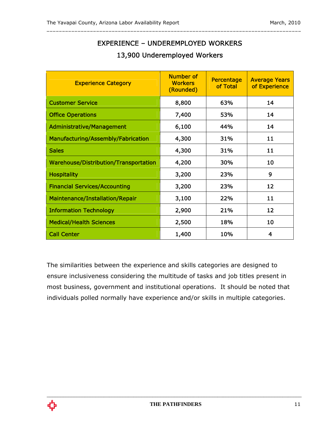#### EXPERIENCE – UNDEREMPLOYED WORKERS

\_\_\_\_\_\_\_\_\_\_\_\_\_\_\_\_\_\_\_\_\_\_\_\_\_\_\_\_\_\_\_\_\_\_\_\_\_\_\_\_\_\_\_\_\_\_\_\_\_\_\_\_\_\_\_\_\_\_\_\_\_\_\_\_\_\_\_\_\_\_\_\_\_\_\_\_\_\_\_\_\_\_

#### 13,900 Underemployed Workers

| <b>Experience Category</b>            | Number of<br><b>Workers</b><br>(Rounded) | Percentage<br>of Total | <b>Average Years</b><br>of Experience |
|---------------------------------------|------------------------------------------|------------------------|---------------------------------------|
| <b>Customer Service</b>               | 8,800                                    | 63%                    | 14                                    |
| <b>Office Operations</b>              | 7,400                                    | 53%                    | 14                                    |
| <b>Administrative/Management</b>      | 6,100                                    | 44%                    | 14                                    |
| Manufacturing/Assembly/Fabrication    | 4,300                                    | 31%                    | 11                                    |
| <b>Sales</b>                          | 4,300                                    | 31%                    | 11                                    |
| Warehouse/Distribution/Transportation | 4,200                                    | 30%                    | 10                                    |
| <b>Hospitality</b>                    | 3,200                                    | 23%                    | 9                                     |
| <b>Financial Services/Accounting</b>  | 3,200                                    | 23%                    | 12                                    |
| Maintenance/Installation/Repair       | 3,100                                    | 22%                    | 11                                    |
| <b>Information Technology</b>         | 2,900                                    | 21%                    | 12                                    |
| <b>Medical/Health Sciences</b>        | 2,500                                    | 18%                    | 10                                    |
| <b>Call Center</b>                    | 1,400                                    | 10%                    | 4                                     |

The similarities between the experience and skills categories are designed to ensure inclusiveness considering the multitude of tasks and job titles present in most business, government and institutional operations. It should be noted that individuals polled normally have experience and/or skills in multiple categories.

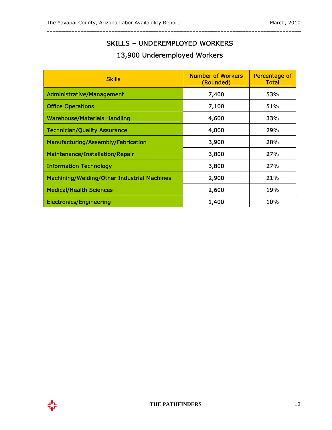#### SKILLS – UNDEREMPLOYED WORKERS

\_\_\_\_\_\_\_\_\_\_\_\_\_\_\_\_\_\_\_\_\_\_\_\_\_\_\_\_\_\_\_\_\_\_\_\_\_\_\_\_\_\_\_\_\_\_\_\_\_\_\_\_\_\_\_\_\_\_\_\_\_\_\_\_\_\_\_\_\_\_\_\_\_\_\_\_\_\_\_\_\_\_

### 13,900 Underemployed Workers

| <b>Skills</b>                               | <b>Number of Workers</b><br>(Rounded) | Percentage of<br><b>Total</b> |
|---------------------------------------------|---------------------------------------|-------------------------------|
| <b>Administrative/Management</b>            | 7,400                                 | 53%                           |
| <b>Office Operations</b>                    | 7,100                                 | 51%                           |
| <b>Warehouse/Materials Handling</b>         | 4,600                                 | 33%                           |
| <b>Technician/Quality Assurance</b>         | 4,000                                 | 29%                           |
| Manufacturing/Assembly/Fabrication          | 3,900                                 | 28%                           |
| Maintenance/Installation/Repair             | 3,800                                 | 27%                           |
| <b>Information Technology</b>               | 3,800                                 | 27%                           |
| Machining/Welding/Other Industrial Machines | 2,900                                 | 21%                           |
| <b>Medical/Health Sciences</b>              | 2,600                                 | 19%                           |
| <b>Electronics/Engineering</b>              | 1,400                                 | 10%                           |

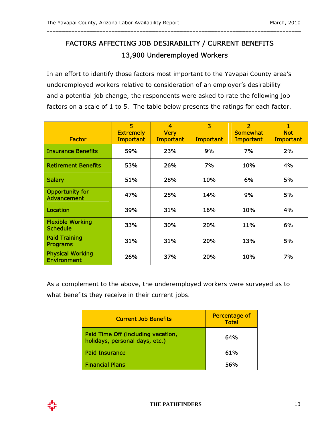### FACTORS AFFECTING JOB DESIRABILITY / CURRENT BENEFITS 13,900 Underemployed Workers

\_\_\_\_\_\_\_\_\_\_\_\_\_\_\_\_\_\_\_\_\_\_\_\_\_\_\_\_\_\_\_\_\_\_\_\_\_\_\_\_\_\_\_\_\_\_\_\_\_\_\_\_\_\_\_\_\_\_\_\_\_\_\_\_\_\_\_\_\_\_\_\_\_\_\_\_\_\_\_\_\_\_

In an effort to identify those factors most important to the Yavapai County area's underemployed workers relative to consideration of an employer's desirability and a potential job change, the respondents were asked to rate the following job factors on a scale of 1 to 5. The table below presents the ratings for each factor.

| <b>Factor</b>                                 | 5<br><b>Extremely</b><br><b>Important</b> | $\overline{\mathbf{4}}$<br><b>Very</b><br><b>Important</b> | 3<br>Important | $\overline{2}$<br><b>Somewhat</b><br>Important | 1<br><b>Not</b><br>Important |
|-----------------------------------------------|-------------------------------------------|------------------------------------------------------------|----------------|------------------------------------------------|------------------------------|
| <b>Insurance Benefits</b>                     | 59%                                       | 23%                                                        | 9%             | 7%                                             | 2%                           |
| <b>Retirement Benefits</b>                    | 53%                                       | 26%                                                        | 7%             | 10%                                            | 4%                           |
| <b>Salary</b>                                 | 51%                                       | 28%                                                        | 10%            | 6%                                             | <b>5%</b>                    |
| Opportunity for<br>Advancement                | 47%                                       | 25%                                                        | 14%            | 9%                                             | 5%                           |
| Location                                      | 39%                                       | 31%                                                        | 16%            | 10%                                            | 4%                           |
| <b>Flexible Working</b><br><b>Schedule</b>    | 33%                                       | 30%                                                        | 20%            | 11%                                            | 6%                           |
| <b>Paid Training</b><br>Programs              | 31%                                       | 31%                                                        | 20%            | 13%                                            | 5%                           |
| <b>Physical Working</b><br><b>Environment</b> | 26%                                       | 37%                                                        | 20%            | 10%                                            | 7%                           |

As a complement to the above, the underemployed workers were surveyed as to what benefits they receive in their current jobs.

| <b>Current Job Benefits</b>                                          | Percentage of<br><b>Total</b> |
|----------------------------------------------------------------------|-------------------------------|
| Paid Time Off (including vacation,<br>holidays, personal days, etc.) | 64%                           |
| <b>Paid Insurance</b>                                                | 61%                           |
| <b>Financial Plans</b>                                               | 56%                           |

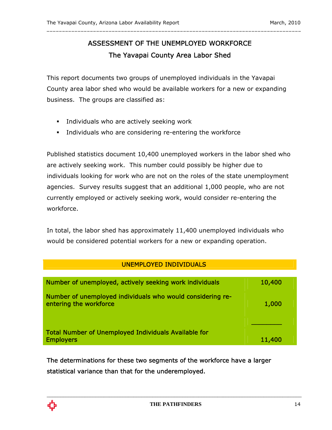### ASSESSMENT OF THE UNEMPLOYED WORKFORCE The Yavapai County Area Labor Shed

\_\_\_\_\_\_\_\_\_\_\_\_\_\_\_\_\_\_\_\_\_\_\_\_\_\_\_\_\_\_\_\_\_\_\_\_\_\_\_\_\_\_\_\_\_\_\_\_\_\_\_\_\_\_\_\_\_\_\_\_\_\_\_\_\_\_\_\_\_\_\_\_\_\_\_\_\_\_\_\_\_\_

This report documents two groups of unemployed individuals in the Yavapai County area labor shed who would be available workers for a new or expanding business. The groups are classified as:

- **Individuals who are actively seeking work**
- Individuals who are considering re-entering the workforce

Published statistics document 10,400 unemployed workers in the labor shed who are actively seeking work. This number could possibly be higher due to individuals looking for work who are not on the roles of the state unemployment agencies. Survey results suggest that an additional 1,000 people, who are not currently employed or actively seeking work, would consider re-entering the workforce.

In total, the labor shed has approximately 11,400 unemployed individuals who would be considered potential workers for a new or expanding operation.

#### UNEMPLOYED INDIVIDUALS

| Number of unemployed, actively seeking work individuals                              | 10,400 |
|--------------------------------------------------------------------------------------|--------|
| Number of unemployed individuals who would considering re-<br>entering the workforce | 1,000  |
| <b>Total Number of Unemployed Individuals Available for</b><br><b>Employers</b>      | 11,400 |

The determinations for these two segments of the workforce have a larger statistical variance than that for the underemployed.

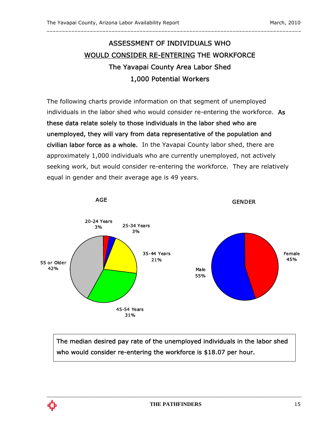### ASSESSMENT OF INDIVIDUALS WHO WOULD CONSIDER RE-ENTERING THE WORKFORCE The Yavapai County Area Labor Shed 1,000 Potential Workers

\_\_\_\_\_\_\_\_\_\_\_\_\_\_\_\_\_\_\_\_\_\_\_\_\_\_\_\_\_\_\_\_\_\_\_\_\_\_\_\_\_\_\_\_\_\_\_\_\_\_\_\_\_\_\_\_\_\_\_\_\_\_\_\_\_\_\_\_\_\_\_\_\_\_\_\_\_\_\_\_\_\_

The following charts provide information on that segment of unemployed individuals in the labor shed who would consider re-entering the workforce. As these data relate solely to those individuals in the labor shed who are unemployed, they will vary from data representative of the population and civilian labor force as a whole. In the Yavapai County labor shed, there are approximately 1,000 individuals who are currently unemployed, not actively seeking work, but would consider re-entering the workforce. They are relatively equal in gender and their average age is 49 years.



The median desired pay rate of the unemployed individuals in the labor shed who would consider re-entering the workforce is \$18.07 per hour.

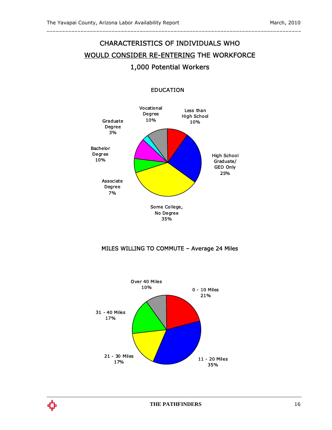### CHARACTERISTICS OF INDIVIDUALS WHO WOULD CONSIDER RE-ENTERING THE WORKFORCE 1,000 Potential Workers

\_\_\_\_\_\_\_\_\_\_\_\_\_\_\_\_\_\_\_\_\_\_\_\_\_\_\_\_\_\_\_\_\_\_\_\_\_\_\_\_\_\_\_\_\_\_\_\_\_\_\_\_\_\_\_\_\_\_\_\_\_\_\_\_\_\_\_\_\_\_\_\_\_\_\_\_\_\_\_\_\_\_



#### EDUCATION

#### MILES WILLING TO COMMUTE – Average 24 Miles



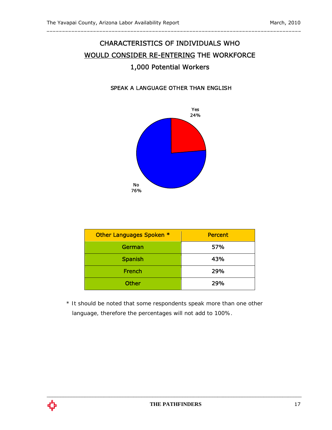### CHARACTERISTICS OF INDIVIDUALS WHO WOULD CONSIDER RE-ENTERING THE WORKFORCE 1,000 Potential Workers

\_\_\_\_\_\_\_\_\_\_\_\_\_\_\_\_\_\_\_\_\_\_\_\_\_\_\_\_\_\_\_\_\_\_\_\_\_\_\_\_\_\_\_\_\_\_\_\_\_\_\_\_\_\_\_\_\_\_\_\_\_\_\_\_\_\_\_\_\_\_\_\_\_\_\_\_\_\_\_\_\_\_

### SPEAK A LANGUAGE OTHER THAN ENGLISH



| Other Languages Spoken * | <b>Percent</b> |
|--------------------------|----------------|
| German                   | 57%            |
| <b>Spanish</b>           | 43%            |
| <b>French</b>            | 29%            |
| <b>Other</b>             | 29%            |

\* It should be noted that some respondents speak more than one other language, therefore the percentages will not add to 100%.

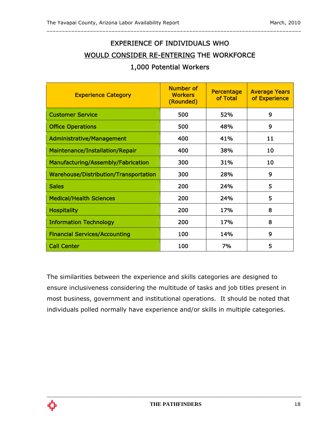### EXPERIENCE OF INDIVIDUALS WHO WOULD CONSIDER RE-ENTERING THE WORKFORCE

\_\_\_\_\_\_\_\_\_\_\_\_\_\_\_\_\_\_\_\_\_\_\_\_\_\_\_\_\_\_\_\_\_\_\_\_\_\_\_\_\_\_\_\_\_\_\_\_\_\_\_\_\_\_\_\_\_\_\_\_\_\_\_\_\_\_\_\_\_\_\_\_\_\_\_\_\_\_\_\_\_\_

#### 1,000 Potential Workers

| <b>Experience Category</b>            | <b>Number of</b><br><b>Workers</b><br>(Rounded) | <b>Percentage</b><br>of Total | <b>Average Years</b><br>of Experience |
|---------------------------------------|-------------------------------------------------|-------------------------------|---------------------------------------|
| <b>Customer Service</b>               | 500                                             | 52%                           | 9                                     |
| <b>Office Operations</b>              | 500                                             | 48%                           | 9                                     |
| Administrative/Management             | 400                                             | 41%                           | 11                                    |
| Maintenance/Installation/Repair       | 400                                             | 38%                           | 10                                    |
| Manufacturing/Assembly/Fabrication    | 300                                             | 31%                           | 10                                    |
| Warehouse/Distribution/Transportation | 300                                             | 28%                           | 9                                     |
| <b>Sales</b>                          | 200                                             | 24%                           | 5                                     |
| <b>Medical/Health Sciences</b>        | 200                                             | 24%                           | 5                                     |
| <b>Hospitality</b>                    | 200                                             | 17%                           | 8                                     |
| <b>Information Technology</b>         | 200                                             | 17%                           | 8                                     |
| <b>Financial Services/Accounting</b>  | 100                                             | 14%                           | 9                                     |
| <b>Call Center</b>                    | 100                                             | 7%                            | 5                                     |

The similarities between the experience and skills categories are designed to ensure inclusiveness considering the multitude of tasks and job titles present in most business, government and institutional operations. It should be noted that individuals polled normally have experience and/or skills in multiple categories.

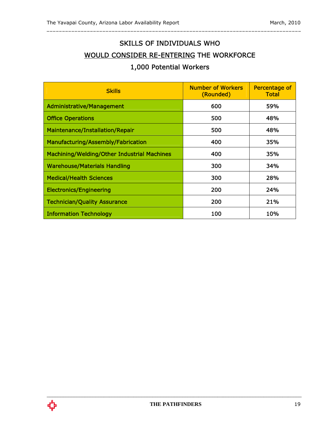### SKILLS OF INDIVIDUALS WHO WOULD CONSIDER RE-ENTERING THE WORKFORCE

\_\_\_\_\_\_\_\_\_\_\_\_\_\_\_\_\_\_\_\_\_\_\_\_\_\_\_\_\_\_\_\_\_\_\_\_\_\_\_\_\_\_\_\_\_\_\_\_\_\_\_\_\_\_\_\_\_\_\_\_\_\_\_\_\_\_\_\_\_\_\_\_\_\_\_\_\_\_\_\_\_\_

### 1,000 Potential Workers

| <b>Skills</b>                               | <b>Number of Workers</b><br>(Rounded) | Percentage of<br><b>Total</b> |
|---------------------------------------------|---------------------------------------|-------------------------------|
| Administrative/Management                   | 600                                   | 59%                           |
| <b>Office Operations</b>                    | 500                                   | 48%                           |
| Maintenance/Installation/Repair             | 500                                   | 48%                           |
| Manufacturing/Assembly/Fabrication          | 400                                   | 35%                           |
| Machining/Welding/Other Industrial Machines | 400                                   | 35%                           |
| <b>Warehouse/Materials Handling</b>         | 300                                   | 34%                           |
| <b>Medical/Health Sciences</b>              | 300                                   | 28%                           |
| <b>Electronics/Engineering</b>              | 200                                   | 24%                           |
| <b>Technician/Quality Assurance</b>         | 200                                   | 21%                           |
| <b>Information Technology</b>               | 100                                   | 10%                           |

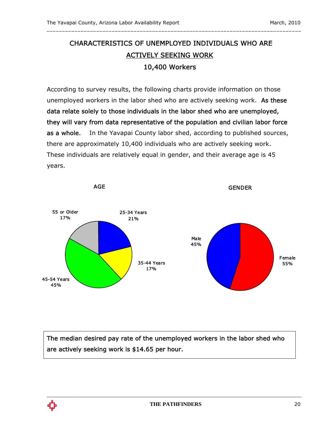### CHARACTERISTICS OF UNEMPLOYED INDIVIDUALS WHO ARE ACTIVELY SEEKING WORK 10,400 Workers

\_\_\_\_\_\_\_\_\_\_\_\_\_\_\_\_\_\_\_\_\_\_\_\_\_\_\_\_\_\_\_\_\_\_\_\_\_\_\_\_\_\_\_\_\_\_\_\_\_\_\_\_\_\_\_\_\_\_\_\_\_\_\_\_\_\_\_\_\_\_\_\_\_\_\_\_\_\_\_\_\_\_

According to survey results, the following charts provide information on those unemployed workers in the labor shed who are actively seeking work. As these data relate solely to those individuals in the labor shed who are unemployed, they will vary from data representative of the population and civilian labor force as a whole. In the Yavapai County labor shed, according to published sources, there are approximately 10,400 individuals who are actively seeking work. These individuals are relatively equal in gender, and their average age is 45 years.



The median desired pay rate of the unemployed workers in the labor shed who are actively seeking work is \$14.65 per hour.

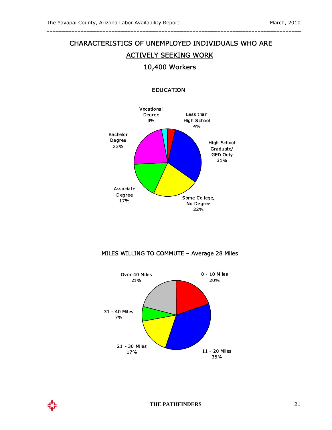### CHARACTERISTICS OF UNEMPLOYED INDIVIDUALS WHO ARE ACTIVELY SEEKING WORK 10,400 Workers

\_\_\_\_\_\_\_\_\_\_\_\_\_\_\_\_\_\_\_\_\_\_\_\_\_\_\_\_\_\_\_\_\_\_\_\_\_\_\_\_\_\_\_\_\_\_\_\_\_\_\_\_\_\_\_\_\_\_\_\_\_\_\_\_\_\_\_\_\_\_\_\_\_\_\_\_\_\_\_\_\_\_

#### EDUCATION



MILES WILLING TO COMMUTE – Average 28 Miles



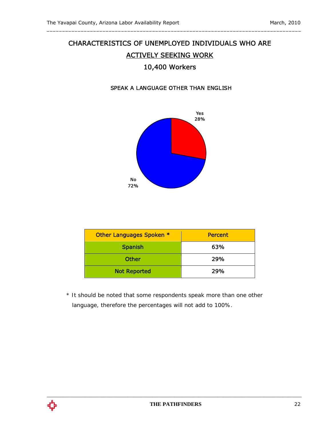### CHARACTERISTICS OF UNEMPLOYED INDIVIDUALS WHO ARE ACTIVELY SEEKING WORK 10,400 Workers

\_\_\_\_\_\_\_\_\_\_\_\_\_\_\_\_\_\_\_\_\_\_\_\_\_\_\_\_\_\_\_\_\_\_\_\_\_\_\_\_\_\_\_\_\_\_\_\_\_\_\_\_\_\_\_\_\_\_\_\_\_\_\_\_\_\_\_\_\_\_\_\_\_\_\_\_\_\_\_\_\_\_

### SPEAK A LANGUAGE OTHER THAN ENGLISH



| Other Languages Spoken * | <b>Percent</b> |
|--------------------------|----------------|
| <b>Spanish</b>           | 63%            |
| Other                    | 29%            |
| <b>Not Reported</b>      | 29%            |

\* It should be noted that some respondents speak more than one other language, therefore the percentages will not add to 100%.

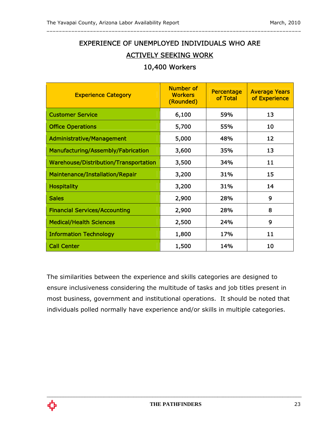### EXPERIENCE OF UNEMPLOYED INDIVIDUALS WHO ARE ACTIVELY SEEKING WORK

\_\_\_\_\_\_\_\_\_\_\_\_\_\_\_\_\_\_\_\_\_\_\_\_\_\_\_\_\_\_\_\_\_\_\_\_\_\_\_\_\_\_\_\_\_\_\_\_\_\_\_\_\_\_\_\_\_\_\_\_\_\_\_\_\_\_\_\_\_\_\_\_\_\_\_\_\_\_\_\_\_\_

#### 10,400 Workers

| <b>Experience Category</b>            | <b>Number of</b><br><b>Workers</b><br>(Rounded) | Percentage<br>of Total | <b>Average Years</b><br>of Experience |
|---------------------------------------|-------------------------------------------------|------------------------|---------------------------------------|
| <b>Customer Service</b>               | 6,100                                           | 59%                    | 13                                    |
| <b>Office Operations</b>              | 5,700                                           | 55%                    | 10                                    |
| Administrative/Management             | 5,000                                           | 48%                    | 12                                    |
| Manufacturing/Assembly/Fabrication    | 3,600                                           | 35%                    | 13                                    |
| Warehouse/Distribution/Transportation | 3,500                                           | 34%                    | 11                                    |
| Maintenance/Installation/Repair       | 3,200                                           | 31%                    | 15                                    |
| <b>Hospitality</b>                    | 3,200                                           | 31%                    | 14                                    |
| <b>Sales</b>                          | 2,900                                           | 28%                    | 9                                     |
| <b>Financial Services/Accounting</b>  | 2,900                                           | 28%                    | 8                                     |
| <b>Medical/Health Sciences</b>        | 2,500                                           | 24%                    | 9                                     |
| <b>Information Technology</b>         | 1,800                                           | 17%                    | 11                                    |
| <b>Call Center</b>                    | 1,500                                           | 14%                    | 10                                    |

The similarities between the experience and skills categories are designed to ensure inclusiveness considering the multitude of tasks and job titles present in most business, government and institutional operations. It should be noted that individuals polled normally have experience and/or skills in multiple categories.

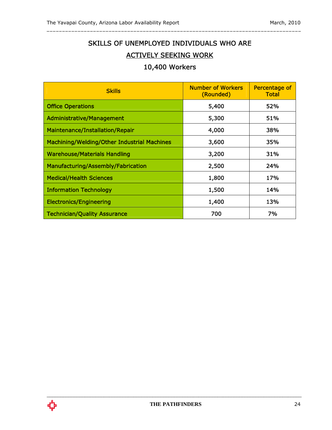### SKILLS OF UNEMPLOYED INDIVIDUALS WHO ARE ACTIVELY SEEKING WORK

\_\_\_\_\_\_\_\_\_\_\_\_\_\_\_\_\_\_\_\_\_\_\_\_\_\_\_\_\_\_\_\_\_\_\_\_\_\_\_\_\_\_\_\_\_\_\_\_\_\_\_\_\_\_\_\_\_\_\_\_\_\_\_\_\_\_\_\_\_\_\_\_\_\_\_\_\_\_\_\_\_\_

### 10,400 Workers

| <b>Skills</b>                               | <b>Number of Workers</b><br>(Rounded) | Percentage of<br><b>Total</b> |
|---------------------------------------------|---------------------------------------|-------------------------------|
| <b>Office Operations</b>                    | 5,400                                 | 52%                           |
| <b>Administrative/Management</b>            | 5,300                                 | 51%                           |
| Maintenance/Installation/Repair             | 4,000                                 | 38%                           |
| Machining/Welding/Other Industrial Machines | 3,600                                 | 35%                           |
| <b>Warehouse/Materials Handling</b>         | 3,200                                 | 31%                           |
| Manufacturing/Assembly/Fabrication          | 2,500                                 | 24%                           |
| <b>Medical/Health Sciences</b>              | 1,800                                 | 17%                           |
| <b>Information Technology</b>               | 1,500                                 | 14%                           |
| <b>Electronics/Engineering</b>              | 1,400                                 | 13%                           |
| <b>Technician/Quality Assurance</b>         | 700                                   | 7%                            |

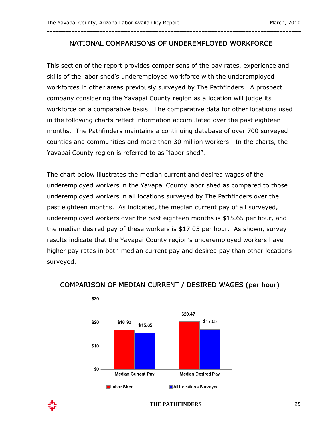#### NATIONAL COMPARISONS OF UNDEREMPLOYED WORKFORCE

\_\_\_\_\_\_\_\_\_\_\_\_\_\_\_\_\_\_\_\_\_\_\_\_\_\_\_\_\_\_\_\_\_\_\_\_\_\_\_\_\_\_\_\_\_\_\_\_\_\_\_\_\_\_\_\_\_\_\_\_\_\_\_\_\_\_\_\_\_\_\_\_\_\_\_\_\_\_\_\_\_\_

This section of the report provides comparisons of the pay rates, experience and skills of the labor shed's underemployed workforce with the underemployed workforces in other areas previously surveyed by The Pathfinders. A prospect company considering the Yavapai County region as a location will judge its workforce on a comparative basis. The comparative data for other locations used in the following charts reflect information accumulated over the past eighteen months. The Pathfinders maintains a continuing database of over 700 surveyed counties and communities and more than 30 million workers. In the charts, the Yavapai County region is referred to as "labor shed".

The chart below illustrates the median current and desired wages of the underemployed workers in the Yavapai County labor shed as compared to those underemployed workers in all locations surveyed by The Pathfinders over the past eighteen months. As indicated, the median current pay of all surveyed, underemployed workers over the past eighteen months is \$15.65 per hour, and the median desired pay of these workers is \$17.05 per hour. As shown, survey results indicate that the Yavapai County region's underemployed workers have higher pay rates in both median current pay and desired pay than other locations surveyed.



#### COMPARISON OF MEDIAN CURRENT / DESIRED WAGES (per hour)

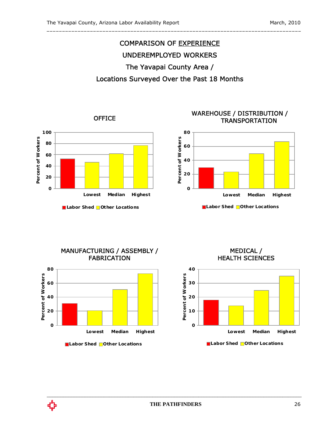

\_\_\_\_\_\_\_\_\_\_\_\_\_\_\_\_\_\_\_\_\_\_\_\_\_\_\_\_\_\_\_\_\_\_\_\_\_\_\_\_\_\_\_\_\_\_\_\_\_\_\_\_\_\_\_\_\_\_\_\_\_\_\_\_\_\_\_\_\_\_\_\_\_\_\_\_\_\_\_\_\_\_







**Labor Shed Other Locations**



MEDICAL / HEALTH SCIENCES



**Labor Shed Other Locations**

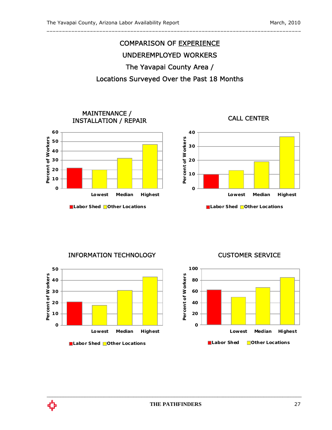

\_\_\_\_\_\_\_\_\_\_\_\_\_\_\_\_\_\_\_\_\_\_\_\_\_\_\_\_\_\_\_\_\_\_\_\_\_\_\_\_\_\_\_\_\_\_\_\_\_\_\_\_\_\_\_\_\_\_\_\_\_\_\_\_\_\_\_\_\_\_\_\_\_\_\_\_\_\_\_\_\_\_

#### MAINTENANCE / INSTALLATION / REPAIR CALL CENTER





**Labor Shed Other Locations**

INFORMATION TECHNOLOGY



CUSTOMER SERVICE



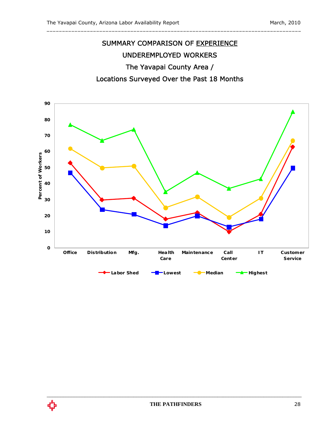### SUMMARY COMPARISON OF EXPERIENCE UNDEREMPLOYED WORKERS The Yavapai County Area / Locations Surveyed Over the Past 18 Months

\_\_\_\_\_\_\_\_\_\_\_\_\_\_\_\_\_\_\_\_\_\_\_\_\_\_\_\_\_\_\_\_\_\_\_\_\_\_\_\_\_\_\_\_\_\_\_\_\_\_\_\_\_\_\_\_\_\_\_\_\_\_\_\_\_\_\_\_\_\_\_\_\_\_\_\_\_\_\_\_\_\_



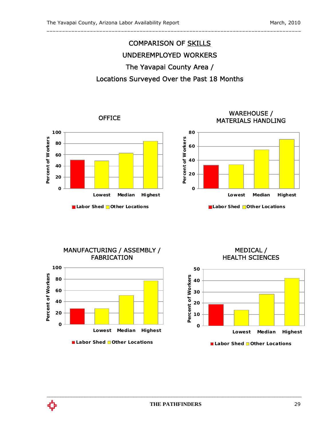

\_\_\_\_\_\_\_\_\_\_\_\_\_\_\_\_\_\_\_\_\_\_\_\_\_\_\_\_\_\_\_\_\_\_\_\_\_\_\_\_\_\_\_\_\_\_\_\_\_\_\_\_\_\_\_\_\_\_\_\_\_\_\_\_\_\_\_\_\_\_\_\_\_\_\_\_\_\_\_\_\_\_



OFFICE WAREHOUSE / MATERIALS HANDLING



**Labor Shed Other Locations**



MEDICAL / HEALTH SCIENCES



**Labor Shed Other Locations**

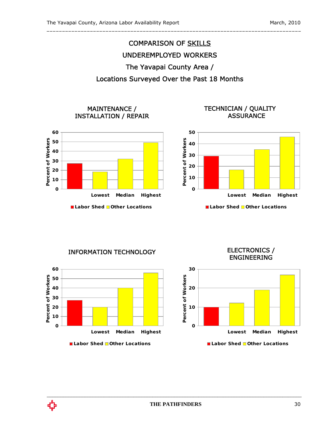

\_\_\_\_\_\_\_\_\_\_\_\_\_\_\_\_\_\_\_\_\_\_\_\_\_\_\_\_\_\_\_\_\_\_\_\_\_\_\_\_\_\_\_\_\_\_\_\_\_\_\_\_\_\_\_\_\_\_\_\_\_\_\_\_\_\_\_\_\_\_\_\_\_\_\_\_\_\_\_\_\_\_

#### MAINTENANCE / INSTALLATION / REPAIR



#### TECHNICIAN / QUALITY **ASSURANCE**



**Labor Shed Other Locations**

INFORMATION TECHNOLOGY



ELECTRONICS / ENGINEERING



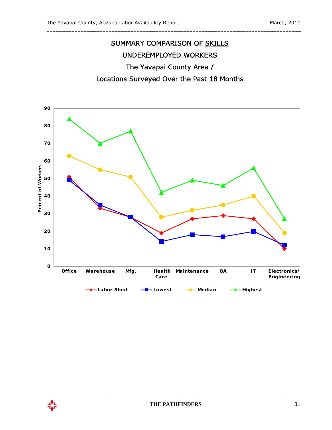### SUMMARY COMPARISON OF SKILLS UNDEREMPLOYED WORKERS The Yavapai County Area / Locations Surveyed Over the Past 18 Months

\_\_\_\_\_\_\_\_\_\_\_\_\_\_\_\_\_\_\_\_\_\_\_\_\_\_\_\_\_\_\_\_\_\_\_\_\_\_\_\_\_\_\_\_\_\_\_\_\_\_\_\_\_\_\_\_\_\_\_\_\_\_\_\_\_\_\_\_\_\_\_\_\_\_\_\_\_\_\_\_\_\_